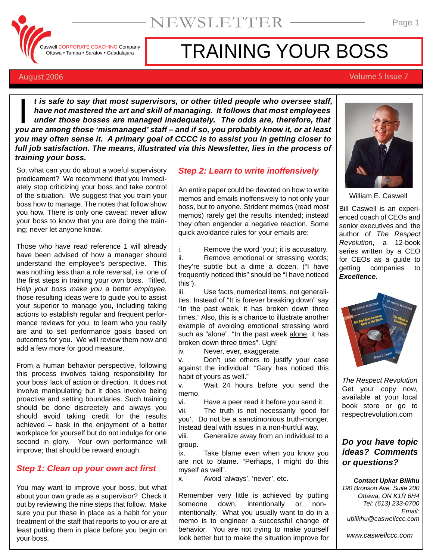Caswell CORPORATE COACHING Company Ottawa • Tampa • Saratov • Guadalajara

# TRAINING YOUR BOSS

#### August 2006 Volume 5 Issue 7

*t is safe to say that most supervisors, or other titled people who oversee staff, have not mastered the art and skill of managing. It follows that most employees under those bosses are managed inadequately. The odds are, therefore, that t* is safe to say that most supervisors, or other titled people who oversee staff, have not mastered the art and skill of managing. It follows that most employees under those bosses are managed inadequately. The odds are, *you may often sense it. A primary goal of CCCC is to assist you in getting closer to full job satisfaction. The means, illustrated via this Newsletter, lies in the process of training your boss.*

So, what can you do about a woeful supervisory predicament? We recommend that you immediately stop criticizing your boss and take control of the situation. We suggest that you train your boss how to manage. The notes that follow show you how. There is only one caveat: never allow your boss to know that you are doing the training; never let anyone know.

Those who have read reference 1 will already have been advised of how a manager should understand the employee's perspective. This was nothing less than a role reversal, i.e. one of the first steps in training your own boss. Titled, *Help your boss make you a better employee*, those resulting ideas were to guide you to assist your superior to manage you, including taking actions to establish regular and frequent performance reviews for you, to learn who you really are and to set performance goals based on outcomes for you. We will review them now and add a few more for good measure.

From a human behavior perspective, following this process involves taking responsibility for your boss' lack of action or direction. It does not involve manipulating but it does involve being proactive and setting boundaries. Such training should be done discreetely and always you should avoid taking credit for the results achieved – bask in the enjoyment of a better workplace for yourself but do not indulge for one second in glory. Your own performance will improve; that should be reward enough.

#### *Step 1: Clean up your own act first*

You may want to improve your boss, but what about your own grade as a supervisor? Check it out by reviewing the nine steps that follow. Make sure you put these in place as a habit for your treatment of the staff that reports to you or are at least putting them in place before you begin on your boss.

#### *Step 2: Learn to write inoffensively*

An entire paper could be devoted on how to write memos and emails inoffensively to not only your boss, but to anyone. Strident memos (read most memos) rarely get the results intended; instead they often engender a negative reaction. Some quick avoidance rules for your emails are:

i. Remove the word 'you'; it is accusatory. ii. Remove emotional or stressing words; they're subtle but a dime a dozen. ("I have frequently noticed this" should be "I have noticed this").

iii. Use facts, numerical items, not generalities. Instead of "It is forever breaking down" say "In the past week, it has broken down three times." Also, this is a chance to illustrate another example of avoiding emotional stressing word such as "alone". "In the past week alone, it has broken down three times". Ugh!

iv. Never, ever, exaggerate.

v. Don't use others to justify your case against the individual: "Gary has noticed this habit of yours as well."

v. Wait 24 hours before you send the memo.

vi. Have a peer read it before you send it.

vii. The truth is not necessarily 'good for you'. Do not be a sanctimonious truth-monger. Instead deal with issues in a non-hurtful way.

viii. Generalize away from an individual to a group.

ix. Take blame even when you know you are not to blame. "Perhaps, I might do this myself as well".

x. Avoid 'always', 'never', etc.

Remember very little is achieved by putting someone down, intentionally or nonintentionally. What you usually want to do in a memo is to engineer a successful change of behavior. You are not trying to make yourself look better but to make the situation improve for



William E. Caswell

Bill Caswell is an experienced coach of CEOs and senior executives and the author of *The Respect Revolution*, a 12-book series written by a CEO for CEOs as a guide to getting companies to *Excellence*.



*The Respect Revolution* Get your copy now, available at your local book store or go to respectrevolution.com

#### *Do you have topic ideas? Comments or questions?*

*Contact Upkar Bilkhu*

*190 Bronson Ave. Suite 200 Ottawa, ON K1R 6H4 Tel: (613) 233-0700 Email: ubilkhu@caswellccc.com*

*www.caswellccc.com*